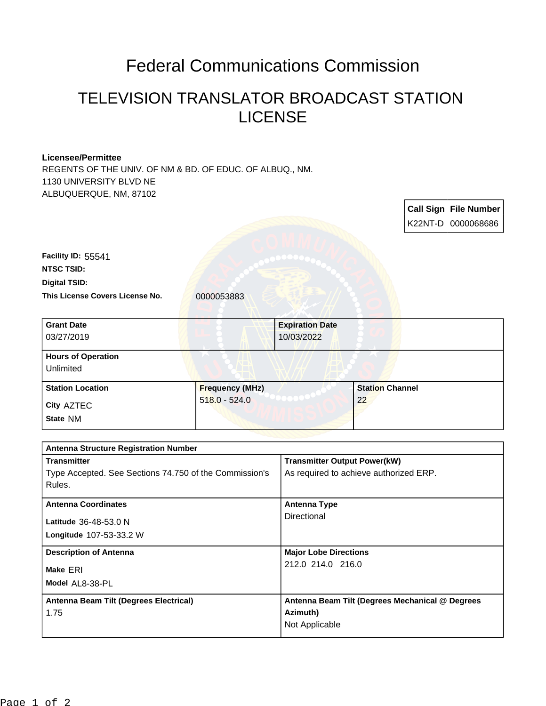## Federal Communications Commission

## TELEVISION TRANSLATOR BROADCAST STATION **LICENSE**

## **Licensee/Permittee**

REGENTS OF THE UNIV. OF NM & BD. OF EDUC. OF ALBUQ., NM. 1130 UNIVERSITY BLVD NE ALBUQUERQUE, NM, 87102

|                                                             |                        |                                                                               |                        |  | <b>Call Sign File Number</b> |
|-------------------------------------------------------------|------------------------|-------------------------------------------------------------------------------|------------------------|--|------------------------------|
|                                                             |                        |                                                                               |                        |  | K22NT-D 0000068686           |
|                                                             |                        |                                                                               |                        |  |                              |
| Facility ID: 55541                                          |                        |                                                                               |                        |  |                              |
| <b>NTSC TSID:</b>                                           |                        |                                                                               |                        |  |                              |
| <b>Digital TSID:</b>                                        |                        |                                                                               |                        |  |                              |
| This License Covers License No.                             | 0000053883             |                                                                               |                        |  |                              |
| <b>Grant Date</b>                                           |                        | <b>Expiration Date</b>                                                        |                        |  |                              |
| 03/27/2019                                                  |                        | 10/03/2022                                                                    |                        |  |                              |
| <b>Hours of Operation</b>                                   |                        |                                                                               |                        |  |                              |
| Unlimited                                                   |                        |                                                                               |                        |  |                              |
| <b>Station Location</b>                                     | <b>Frequency (MHz)</b> |                                                                               | <b>Station Channel</b> |  |                              |
| City AZTEC                                                  | $518.0 - 524.0$        |                                                                               | 22                     |  |                              |
| State NM                                                    |                        |                                                                               |                        |  |                              |
|                                                             |                        |                                                                               |                        |  |                              |
| Antenna Structure Registration Number<br><b>Transmitter</b> |                        |                                                                               |                        |  |                              |
| Type Accepted. See Sections 74.750 of the Commission's      |                        | <b>Transmitter Output Power(kW)</b><br>As required to achieve authorized ERP. |                        |  |                              |
| Rules.                                                      |                        |                                                                               |                        |  |                              |
| <b>Antenna Coordinates</b>                                  |                        | <b>Antenna Type</b><br>Directional                                            |                        |  |                              |
| Latitude 36-48-53.0 N                                       |                        |                                                                               |                        |  |                              |
| Longitude 107-53-33.2 W                                     |                        |                                                                               |                        |  |                              |
| <b>Description of Antenna</b>                               |                        | <b>Major Lobe Directions</b>                                                  |                        |  |                              |
| Make ERI                                                    |                        | 212.0 214.0 216.0                                                             |                        |  |                              |

| Model AL8-38-PL                        |                                                 |
|----------------------------------------|-------------------------------------------------|
| Antenna Beam Tilt (Degrees Electrical) | Antenna Beam Tilt (Degrees Mechanical @ Degrees |
| 1.75                                   | Azimuth)                                        |
|                                        | Not Applicable                                  |